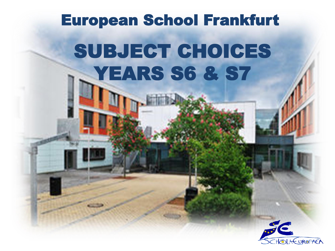# SUBJECT CHOICES YEARS S6 & S7 European School Frankfurt

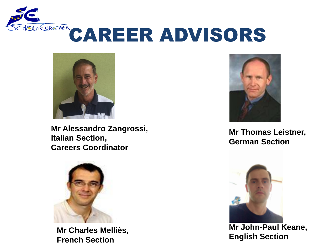



**Mr Alessandro Zangrossi, Italian Section, Careers Coordinator**



**Mr Charles Melliès, French Section**



**Mr Thomas Leistner, German Section**



**Mr John-Paul Keane, English Section**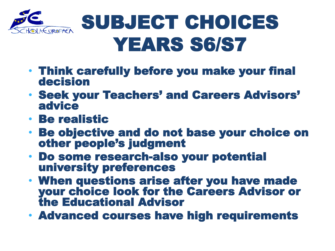

# SUBJECT CHOICES YEARS S6/S7

- Think carefully before you make your final decision
- Seek your Teachers' and Careers Advisors' advice
- Be realistic
- Be objective and do not base your choice on other people's judgment
- Do some research-also your potential university preferences
- When questions arise after you have made your choice look for the Careers Advisor or the Educational Advisor
- Advanced courses have high requirements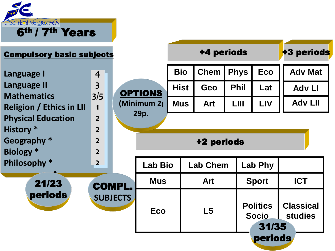

| <b>Compulsory basic subjects</b>                      |                         |                             |                | <b>+3 periods</b> |                 |             |                                          |                                    |
|-------------------------------------------------------|-------------------------|-----------------------------|----------------|-------------------|-----------------|-------------|------------------------------------------|------------------------------------|
| Language I                                            | $\overline{4}$          |                             |                | <b>Bio</b>        | <b>Chem</b>     | <b>Phys</b> | <b>Eco</b>                               | <b>Adv Mat</b>                     |
| Language II                                           | $\overline{\mathbf{3}}$ |                             | <b>OPTIONS</b> | <b>Hist</b>       | <b>Geo</b>      | <b>Phil</b> | Lat                                      | <b>Adv Ll</b>                      |
| <b>Mathematics</b><br><b>Religion / Ethics in LII</b> | 3/5<br>$\mathbf 1$      |                             | (Minimum 2)    | <b>Mus</b>        | <b>Art</b>      | LIII        | <b>LIV</b>                               | <b>Adv LII</b>                     |
| <b>Physical Education</b>                             | $\overline{2}$          |                             | 29p.           |                   |                 |             |                                          |                                    |
| <b>History</b> *                                      | $\overline{2}$          |                             | +2 periods     |                   |                 |             |                                          |                                    |
| Geography *                                           | $\overline{2}$          |                             |                |                   |                 |             |                                          |                                    |
| <b>Biology</b> *                                      | $\overline{2}$          |                             |                |                   |                 |             |                                          |                                    |
| Philosophy *                                          | $\overline{2}$          |                             | <b>Lab Bio</b> |                   | <b>Lab Chem</b> |             | <b>Lab Phy</b>                           |                                    |
| 21/23                                                 |                         | <b>Mus</b><br><b>COMPL.</b> |                |                   | <b>Art</b>      |             | <b>Sport</b>                             | <b>ICT</b>                         |
| <b>periods</b>                                        | <b>SUBJECTS</b>         |                             | <b>Eco</b>     |                   | L5              |             | <b>Politics</b><br><b>Socio</b><br>31/35 | <b>Classical</b><br><b>studies</b> |
|                                                       |                         | <b>periods</b>              |                |                   |                 |             |                                          |                                    |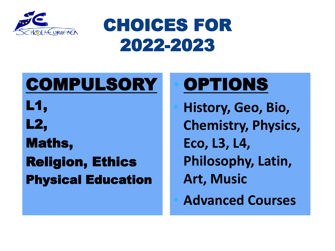

#### CHOICES FOR 2022-2023

#### COMPULSORY L1, L2, Maths, Religion, Ethics Physical Education

# **OPTIONS**

• **History, Geo, Bio, Chemistry, Physics, Eco, L3, L4, Philosophy, Latin, Art, Music** • **Advanced Courses**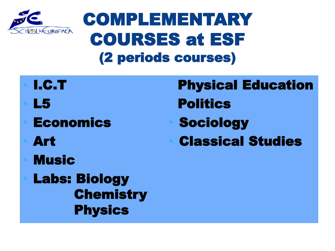

#### COMPLEMENTARY COURSES at ESF (2 periods courses)

- I.C.T • L5 **Economics** • Art **Music** Physical Education **Politics Sociology** • Classical Studies
	- **Labs: Biology Chemistry Physics**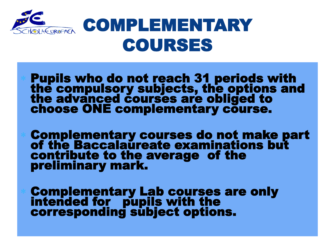

### COMPLEMENTARY COURSES

- Pupils who do not reach 31 periods with the compulsory subjects, the options and the advanced courses are obliged to choose ONE complementary course.
- Complementary courses do not make part of the Baccalaureate examinations but contribute to the average of the preliminary mark.
- Complementary Lab courses are only intended for pupils with the corresponding subject options.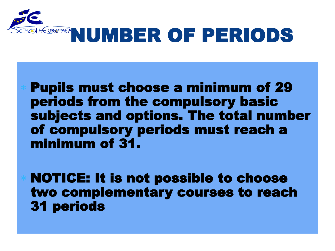

 Pupils must choose a minimum of 29 periods from the compulsory basic subjects and options. The total number of compulsory periods must reach a minimum of 31.

 NOTICE: It is not possible to choose two complementary courses to reach 31 periods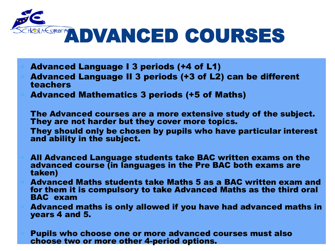

- Advanced Language I 3 periods (+4 of L1) Advanced Language II 3 periods (+3 of L2) can be different teachers Advanced Mathematics 3 periods (+5 of Maths)
- The Advanced courses are a more extensive study of the subject. They are not harder but they cover more topics. They should only be chosen by pupils who have particular interest
- and ability in the subject.
- All Advanced Language students take BAC written exams on the advanced course (in languages in the Pre BAC both exams are taken)
- Advanced Maths students take Maths 5 as a BAC written exam and for them it is compulsory to take Advanced Maths as the third oral BAC exam
- Advanced maths is only allowed if you have had advanced maths in years 4 and 5.
- Pupils who choose one or more advanced courses must also choose two or more other 4-period options.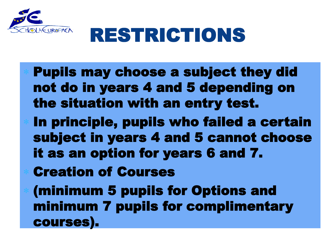

# RESTRICTIONS

- Pupils may choose a subject they did not do in years 4 and 5 depending on the situation with an entry test.
- In principle, pupils who failed a certain subject in years 4 and 5 cannot choose it as an option for years 6 and 7.
- Creation of Courses
- (minimum 5 pupils for Options and minimum 7 pupils for complimentary courses).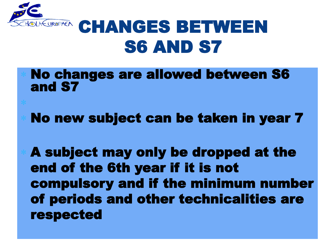

### **REUROPACA CHANGES BETWEEN** S6 AND S7

- No changes are allowed between S6 and S7
- No new subject can be taken in year 7

 A subject may only be dropped at the end of the 6th year if it is not compulsory and if the minimum number of periods and other technicalities are respected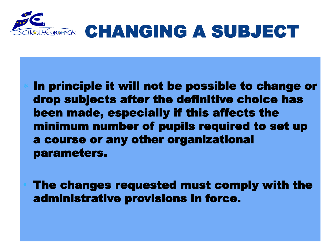

### EUROPACK CHANGING A SUBJECT

 In principle it will not be possible to change or drop subjects after the definitive choice has been made, especially if this affects the minimum number of pupils required to set up a course or any other organizational parameters.

The changes requested must comply with the administrative provisions in force.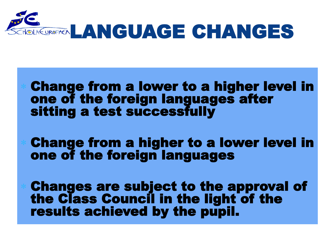

#### Change from a lower to a higher level in one of the foreign languages after sitting a test successfully

 Change from a higher to a lower level in one of the foreign languages

 Changes are subject to the approval of the Class Council in the light of the results achieved by the pupil.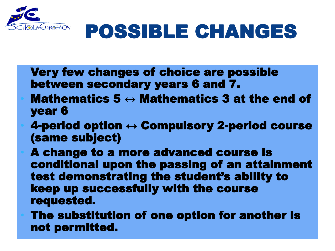

# POSSIBLE CHANGES

- Very few changes of choice are possible between secondary years 6 and 7.
- Mathematics 5  $\leftrightarrow$  Mathematics 3 at the end of year 6
- 4-period option  $\leftrightarrow$  Compulsory 2-period course (same subject)
- A change to a more advanced course is conditional upon the passing of an attainment test demonstrating the student's ability to keep up successfully with the course requested.
- The substitution of one option for another is not permitted.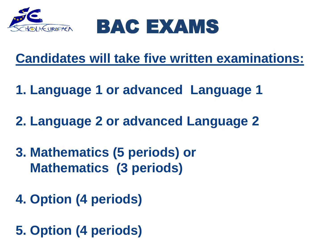



#### **Candidates will take five written examinations:**

- **1. Language 1 or advanced Language 1**
- **2. Language 2 or advanced Language 2**
- **3. Mathematics (5 periods) or Mathematics (3 periods)**
- **4. Option (4 periods)**
- **5. Option (4 periods)**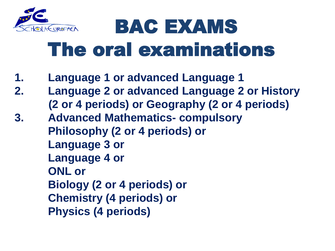

# BAC EXAMS The oral examinations

- **1. Language 1 or advanced Language 1**
- **2. Language 2 or advanced Language 2 or History (2 or 4 periods) or Geography (2 or 4 periods)**
- **3. Advanced Mathematics- compulsory Philosophy (2 or 4 periods) or Language 3 or Language 4 or ONL or Biology (2 or 4 periods) or Chemistry (4 periods) or Physics (4 periods)**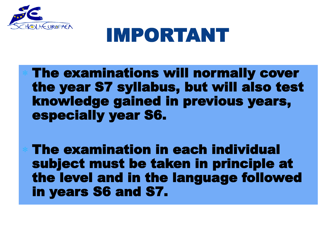

### IMPORTANT

 The examinations will normally cover the year S7 syllabus, but will also test knowledge gained in previous years, especially year S6.

 The examination in each individual subject must be taken in principle at the level and in the language followed in years S6 and S7.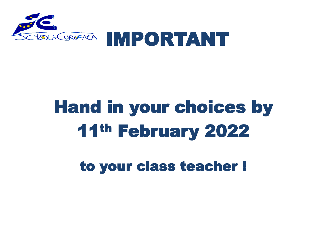

# Hand in your choices by 11th February 2022

to your class teacher !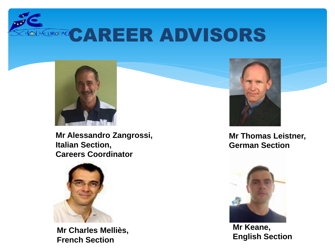**OLKUROPACAREER ADVISORS** 



**Mr Alessandro Zangrossi, Italian Section, Careers Coordinator**



**Mr Charles Melliès, French Section**



**Mr Thomas Leistner, German Section**



**Mr Keane, English Section**